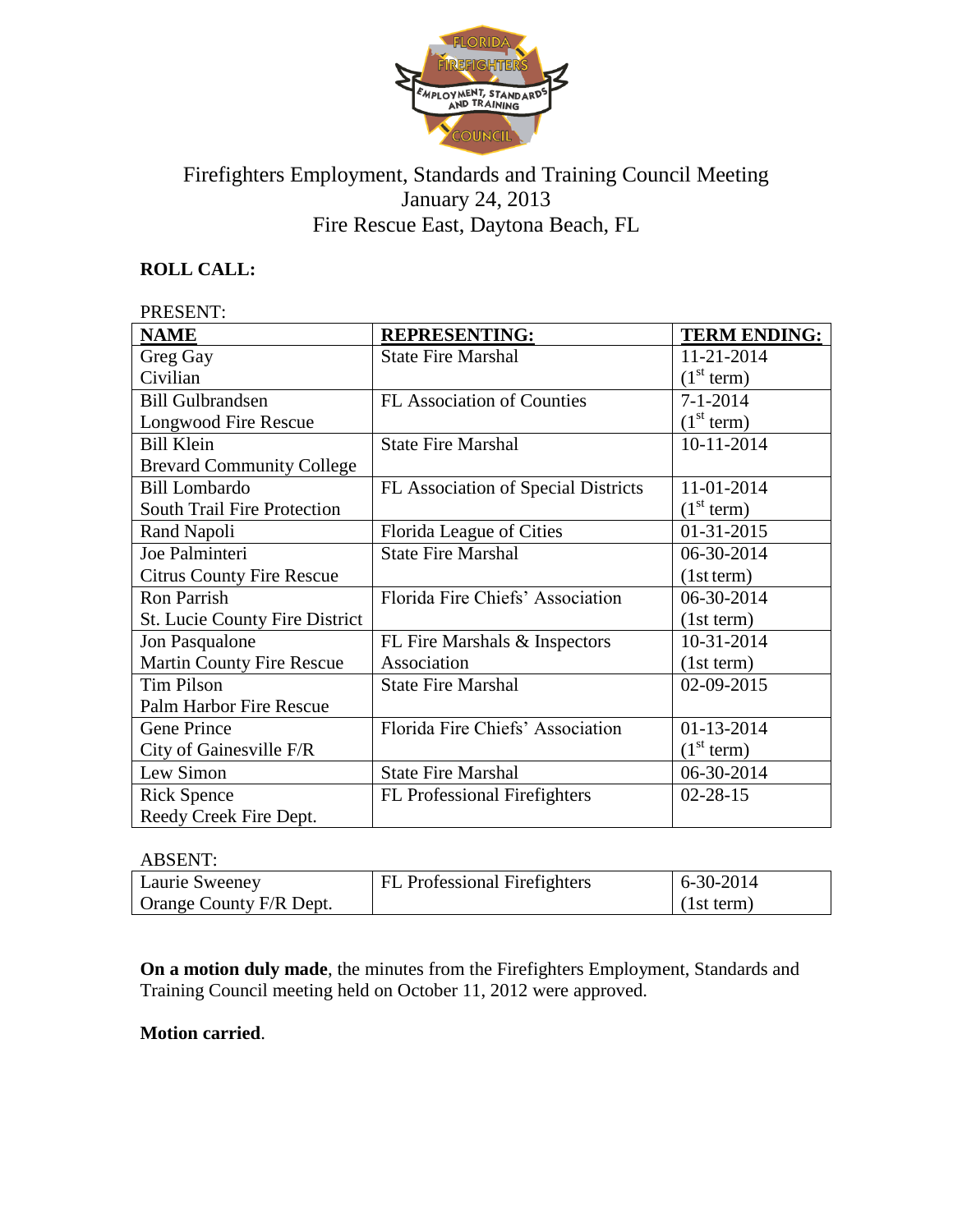

# Firefighters Employment, Standards and Training Council Meeting January 24, 2013 Fire Rescue East, Daytona Beach, FL

## **ROLL CALL:**

#### PRESENT:

| <b>NAME</b>                           | <b>REPRESENTING:</b>                | <b>TERM ENDING:</b>    |
|---------------------------------------|-------------------------------------|------------------------|
| Greg Gay                              | <b>State Fire Marshal</b>           | 11-21-2014             |
| Civilian                              |                                     | (1 <sup>st</sup> term) |
| <b>Bill Gulbrandsen</b>               | <b>FL Association of Counties</b>   | $7 - 1 - 2014$         |
| Longwood Fire Rescue                  |                                     | (1 <sup>st</sup> term) |
| <b>Bill Klein</b>                     | <b>State Fire Marshal</b>           | 10-11-2014             |
| <b>Brevard Community College</b>      |                                     |                        |
| <b>Bill Lombardo</b>                  | FL Association of Special Districts | 11-01-2014             |
| <b>South Trail Fire Protection</b>    |                                     | (1 <sup>st</sup> term) |
| Rand Napoli                           | Florida League of Cities            | 01-31-2015             |
| Joe Palminteri                        | <b>State Fire Marshal</b>           | 06-30-2014             |
| <b>Citrus County Fire Rescue</b>      |                                     | (1st term)             |
| <b>Ron Parrish</b>                    | Florida Fire Chiefs' Association    | 06-30-2014             |
| <b>St. Lucie County Fire District</b> |                                     | (1st term)             |
| Jon Pasqualone                        | FL Fire Marshals & Inspectors       | 10-31-2014             |
| <b>Martin County Fire Rescue</b>      | Association                         | (1st term)             |
| <b>Tim Pilson</b>                     | <b>State Fire Marshal</b>           | 02-09-2015             |
| Palm Harbor Fire Rescue               |                                     |                        |
| Gene Prince                           | Florida Fire Chiefs' Association    | 01-13-2014             |
| City of Gainesville F/R               |                                     | (1 <sup>st</sup> term) |
| Lew Simon                             | <b>State Fire Marshal</b>           | 06-30-2014             |
| <b>Rick Spence</b>                    | <b>FL</b> Professional Firefighters | $02 - 28 - 15$         |
| Reedy Creek Fire Dept.                |                                     |                        |

#### ABSENT:

| Laurie Sweeney          | <b>FL</b> Professional Firefighters | $6-30-2014$ |
|-------------------------|-------------------------------------|-------------|
| Orange County F/R Dept. |                                     | (1st term)  |

**On a motion duly made**, the minutes from the Firefighters Employment, Standards and Training Council meeting held on October 11, 2012 were approved.

#### **Motion carried**.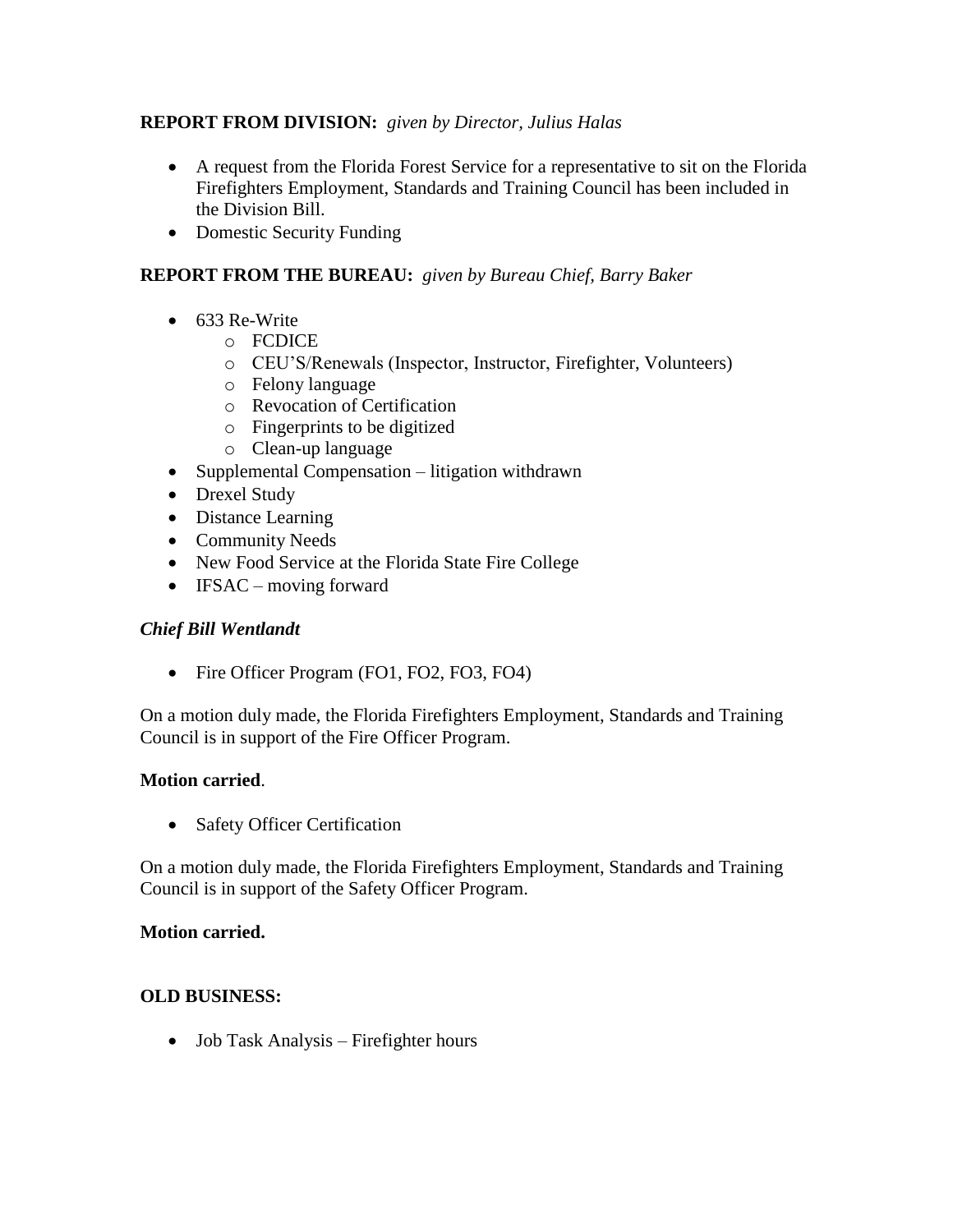## **REPORT FROM DIVISION:** *given by Director, Julius Halas*

- A request from the Florida Forest Service for a representative to sit on the Florida Firefighters Employment, Standards and Training Council has been included in the Division Bill.
- Domestic Security Funding

## **REPORT FROM THE BUREAU:** *given by Bureau Chief, Barry Baker*

- $-633$  Re-Write
	- o FCDICE
	- o CEU'S/Renewals (Inspector, Instructor, Firefighter, Volunteers)
	- o Felony language
	- o Revocation of Certification
	- o Fingerprints to be digitized
	- o Clean-up language
- Supplemental Compensation litigation withdrawn
- Drexel Study
- Distance Learning
- Community Needs
- New Food Service at the Florida State Fire College
- $\bullet$  IFSAC moving forward

## *Chief Bill Wentlandt*

• Fire Officer Program (FO1, FO2, FO3, FO4)

On a motion duly made, the Florida Firefighters Employment, Standards and Training Council is in support of the Fire Officer Program.

## **Motion carried**.

• Safety Officer Certification

On a motion duly made, the Florida Firefighters Employment, Standards and Training Council is in support of the Safety Officer Program.

## **Motion carried.**

## **OLD BUSINESS:**

• Job Task Analysis – Firefighter hours